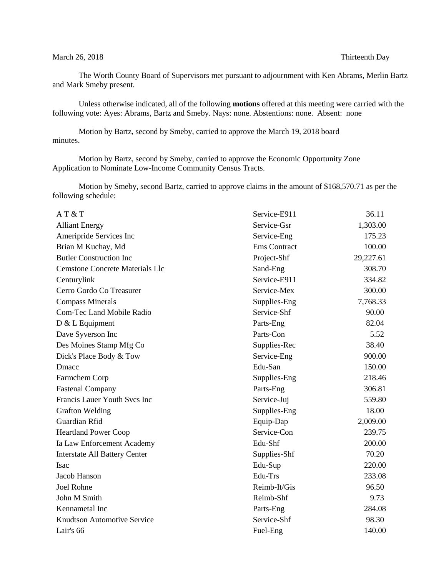## March 26, 2018 Thirteenth Day

The Worth County Board of Supervisors met pursuant to adjournment with Ken Abrams, Merlin Bartz and Mark Smeby present.

Unless otherwise indicated, all of the following **motions** offered at this meeting were carried with the following vote: Ayes: Abrams, Bartz and Smeby. Nays: none. Abstentions: none. Absent: none

Motion by Bartz, second by Smeby, carried to approve the March 19, 2018 board minutes.

Motion by Bartz, second by Smeby, carried to approve the Economic Opportunity Zone Application to Nominate Low-Income Community Census Tracts.

Motion by Smeby, second Bartz, carried to approve claims in the amount of \$168,570.71 as per the following schedule:

| AT&T                                   | Service-E911 | 36.11     |
|----------------------------------------|--------------|-----------|
| <b>Alliant Energy</b>                  | Service-Gsr  | 1,303.00  |
| Ameripride Services Inc                | Service-Eng  | 175.23    |
| Brian M Kuchay, Md                     | Ems Contract | 100.00    |
| <b>Butler Construction Inc</b>         | Project-Shf  | 29,227.61 |
| <b>Cemstone Concrete Materials Llc</b> | Sand-Eng     | 308.70    |
| Centurylink                            | Service-E911 | 334.82    |
| Cerro Gordo Co Treasurer               | Service-Mex  | 300.00    |
| <b>Compass Minerals</b>                | Supplies-Eng | 7,768.33  |
| <b>Com-Tec Land Mobile Radio</b>       | Service-Shf  | 90.00     |
| D & L Equipment                        | Parts-Eng    | 82.04     |
| Dave Syverson Inc                      | Parts-Con    | 5.52      |
| Des Moines Stamp Mfg Co                | Supplies-Rec | 38.40     |
| Dick's Place Body & Tow                | Service-Eng  | 900.00    |
| <b>D</b> macc                          | Edu-San      | 150.00    |
| Farmchem Corp                          | Supplies-Eng | 218.46    |
| <b>Fastenal Company</b>                | Parts-Eng    | 306.81    |
| Francis Lauer Youth Svcs Inc           | Service-Juj  | 559.80    |
| <b>Grafton Welding</b>                 | Supplies-Eng | 18.00     |
| Guardian Rfid                          | Equip-Dap    | 2,009.00  |
| <b>Heartland Power Coop</b>            | Service-Con  | 239.75    |
| Ia Law Enforcement Academy             | Edu-Shf      | 200.00    |
| <b>Interstate All Battery Center</b>   | Supplies-Shf | 70.20     |
| <b>Isac</b>                            | Edu-Sup      | 220.00    |
| Jacob Hanson                           | Edu-Trs      | 233.08    |
| <b>Joel Rohne</b>                      | Reimb-It/Gis | 96.50     |
| John M Smith                           | Reimb-Shf    | 9.73      |
| Kennametal Inc                         | Parts-Eng    | 284.08    |
| Knudtson Automotive Service            | Service-Shf  | 98.30     |
| Lair's 66                              | Fuel-Eng     | 140.00    |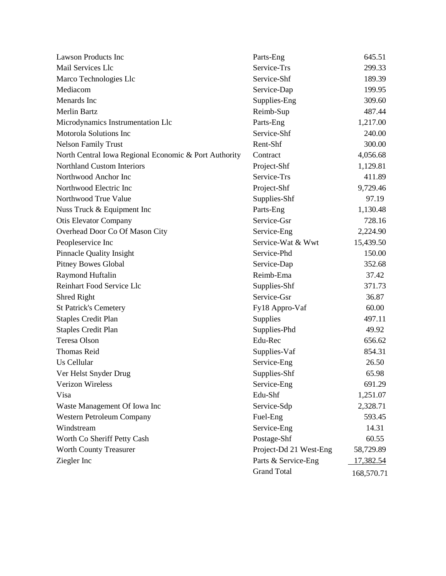| <b>Lawson Products Inc</b>                            | Parts-Eng              | 645.51     |
|-------------------------------------------------------|------------------------|------------|
| Mail Services Llc                                     | Service-Trs            | 299.33     |
| Marco Technologies Llc                                | Service-Shf            | 189.39     |
| Mediacom                                              | Service-Dap            | 199.95     |
| Menards Inc                                           | Supplies-Eng           | 309.60     |
| <b>Merlin Bartz</b>                                   | Reimb-Sup              | 487.44     |
| Microdynamics Instrumentation Llc                     | Parts-Eng              | 1,217.00   |
| <b>Motorola Solutions Inc</b>                         | Service-Shf            | 240.00     |
| <b>Nelson Family Trust</b>                            | Rent-Shf               | 300.00     |
| North Central Iowa Regional Economic & Port Authority | Contract               | 4,056.68   |
| <b>Northland Custom Interiors</b>                     | Project-Shf            | 1,129.81   |
| Northwood Anchor Inc                                  | Service-Trs            | 411.89     |
| Northwood Electric Inc                                | Project-Shf            | 9,729.46   |
| Northwood True Value                                  | Supplies-Shf           | 97.19      |
| Nuss Truck & Equipment Inc                            | Parts-Eng              | 1,130.48   |
| <b>Otis Elevator Company</b>                          | Service-Gsr            | 728.16     |
| Overhead Door Co Of Mason City                        | Service-Eng            | 2,224.90   |
| Peopleservice Inc                                     | Service-Wat & Wwt      | 15,439.50  |
| <b>Pinnacle Quality Insight</b>                       | Service-Phd            | 150.00     |
| <b>Pitney Bowes Global</b>                            | Service-Dap            | 352.68     |
| Raymond Huftalin                                      | Reimb-Ema              | 37.42      |
| Reinhart Food Service Llc                             | Supplies-Shf           | 371.73     |
| Shred Right                                           | Service-Gsr            | 36.87      |
| <b>St Patrick's Cemetery</b>                          | Fy18 Appro-Vaf         | 60.00      |
| <b>Staples Credit Plan</b>                            | Supplies               | 497.11     |
| <b>Staples Credit Plan</b>                            | Supplies-Phd           | 49.92      |
| Teresa Olson                                          | Edu-Rec                | 656.62     |
| <b>Thomas Reid</b>                                    | Supplies-Vaf           | 854.31     |
| Us Cellular                                           | Service-Eng            | 26.50      |
| Ver Helst Snyder Drug                                 | Supplies-Shf           | 65.98      |
| <b>Verizon Wireless</b>                               | Service-Eng            | 691.29     |
| Visa                                                  | Edu-Shf                | 1,251.07   |
| Waste Management Of Iowa Inc                          | Service-Sdp            | 2,328.71   |
| Western Petroleum Company                             | Fuel-Eng               | 593.45     |
| Windstream                                            | Service-Eng            | 14.31      |
| Worth Co Sheriff Petty Cash                           | Postage-Shf            | 60.55      |
| <b>Worth County Treasurer</b>                         | Project-Dd 21 West-Eng | 58,729.89  |
| Ziegler Inc                                           | Parts & Service-Eng    | 17,382.54  |
|                                                       | <b>Grand Total</b>     | 168,570.71 |